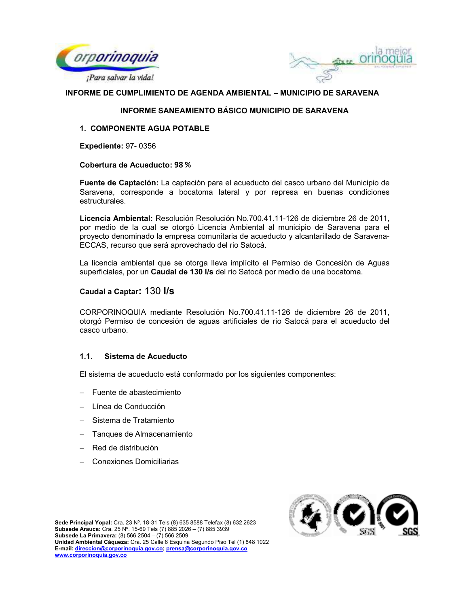



## INFORME SANEAMIENTO BÁSICO MUNICIPIO DE SARAVENA

## 1. COMPONENTE AGUA POTABLE

**Expediente: 97-0356** 

#### **Cobertura de Acueducto: 98 %**

Fuente de Captación: La captación para el acueducto del casco urbano del Municipio de Saravena, corresponde a bocatoma lateral y por represa en buenas condiciones estructurales.

Licencia Ambiental: Resolución Resolución No.700.41.11-126 de diciembre 26 de 2011. por medio de la cual se otorgó Licencia Ambiental al municipio de Saravena para el proyecto denominado la empresa comunitaria de acueducto y alcantarillado de Saravena-ECCAS, recurso que será aprovechado del rio Satocá.

La licencia ambiental que se otorga lleva implícito el Permiso de Concesión de Aguas superficiales, por un Caudal de 130 l/s del rio Satocá por medio de una bocatoma.

## Caudal a Captar: 130 I/s

CORPORINOQUIA mediante Resolución No.700.41.11-126 de diciembre 26 de 2011, otorgó Permiso de concesión de aguas artificiales de rio Satocá para el acueducto del casco urbano.

#### $1.1.$ Sistema de Acueducto

El sistema de acueducto está conformado por los siguientes componentes:

- Fuente de abastecimiento
- Línea de Conducción
- Sistema de Tratamiento
- Tanques de Almacenamiento
- Red de distribución
- Conexiones Domiciliarias

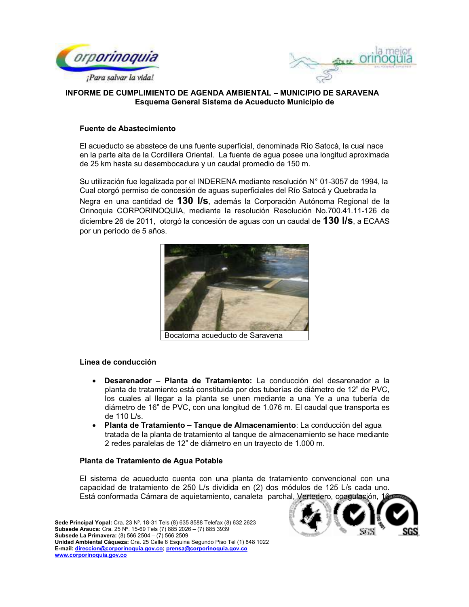



# INFORME DE CUMPLIMIENTO DE AGENDA AMBIENTAL - MUNICIPIO DE SARAVENA Esquema General Sistema de Acueducto Municipio de

## Fuente de Abastecimiento

El acueducto se abastece de una fuente superficial, denominada Río Satocá, la cual nace en la parte alta de la Cordillera Oriental. La fuente de agua posee una longitud aproximada de 25 km hasta su desembocadura y un caudal promedio de 150 m.

Su utilización fue legalizada por el INDERENA mediante resolución N° 01-3057 de 1994, la Cual otorgó permiso de concesión de aguas superficiales del Río Satocá y Quebrada la Negra en una cantidad de 130 I/s, además la Corporación Autónoma Regional de la Orinoquia CORPORINOQUIA, mediante la resolución Resolución No.700.41.11-126 de diciembre 26 de 2011, otorgó la concesión de aguas con un caudal de 130 I/s. a ECAAS por un período de 5 años.



Bocatoma acueducto de Saravena

#### Línea de conducción

- Desarenador Planta de Tratamiento: La conducción del desarenador a la planta de tratamiento está constituida por dos tuberías de diámetro de 12" de PVC. los cuales al llegar a la planta se unen mediante a una Ye a una tubería de diámetro de 16" de PVC, con una longitud de 1.076 m. El caudal que transporta es de 110 L/s.
- · Planta de Tratamiento Tanque de Almacenamiento: La conducción del agua tratada de la planta de tratamiento al tanque de almacenamiento se hace mediante 2 redes paralelas de 12" de diámetro en un trayecto de 1.000 m.

#### Planta de Tratamiento de Agua Potable

El sistema de acueducto cuenta con una planta de tratamiento convencional con una capacidad de tratamiento de 250 L/s dividida en (2) dos módulos de 125 L/s cada uno. Está conformada Cámara de aquietamiento, canaleta parchal, Vertedero, coagulación, 1

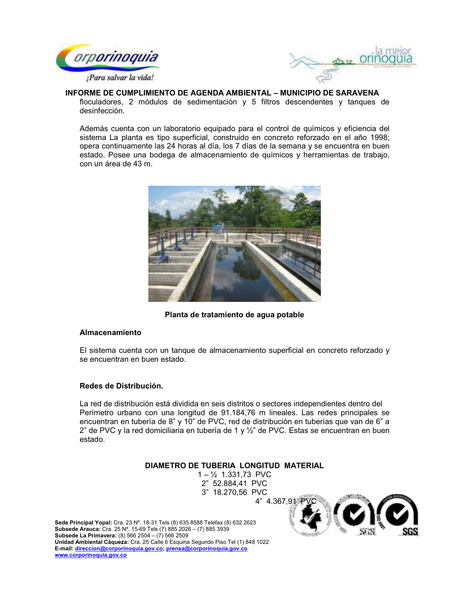



floculadores, 2 módulos de sedimentación y 5 filtros descendentes y tangues de desinfección.

Además cuenta con un laboratorio equipado para el control de químicos y eficiencia del sistema La planta es tipo superficial, construido en concreto reforzado en el año 1998; opera continuamente las 24 horas al día, los 7 días de la semana y se encuentra en buen estado. Posee una bodega de almacenamiento de químicos y herramientas de trabajo, con un área de 43 m.



Planta de tratamiento de agua potable

#### **Almacenamiento**

El sistema cuenta con un tangue de almacenamiento superficial en concreto reforzado y se encuentran en buen estado.

## Redes de Distribución.

La red de distribución está dividida en seis distritos o sectores independientes dentro del Perímetro urbano con una longitud de 91.184,76 m lineales. Las redes principales se encuentran en tubería de 8" y 10" de PVC, red de distribución en tuberías que van de 6" a 2" de PVC y la red domiciliaria en tubería de 1 y 1/2" de PVC. Estas se encuentran en buen estado.

## DIAMETRO DE TUBERIA LONGITUD MATERIAL

 $1 - \frac{1}{2}$  1.331,73 PVC 2" 52.884,41 PVC 3" 18.270,56 PVC



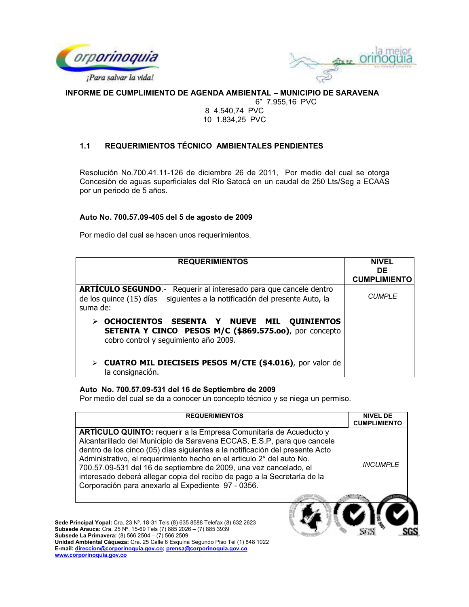



6" 7.955,16 PVC

### 8 4.540,74 PVC 10 1.834,25 PVC

#### $1.1$ REQUERIMIENTOS TÉCNICO AMBIENTALES PENDIENTES

Resolución No.700.41.11-126 de diciembre 26 de 2011, Por medio del cual se otorga Concesión de aguas superficiales del Río Satocá en un caudal de 250 Lts/Seg a ECAAS por un periodo de 5 años.

## Auto No. 700.57.09-405 del 5 de agosto de 2009

Por medio del cual se hacen unos requerimientos.

| <b>REQUERIMIENTOS</b>                                                                                                                                              | <b>NIVEL</b><br><b>DE</b><br><b>CUMPLIMIENTO</b> |
|--------------------------------------------------------------------------------------------------------------------------------------------------------------------|--------------------------------------------------|
| <b>ARTÍCULO SEGUNDO.-</b> Requerir al interesado para que cancele dentro<br>de los quince (15) días siguientes a la notificación del presente Auto, la<br>suma de: | <b>CUMPLE</b>                                    |
| OCHOCIENTOS SESENTA Y NUEVE MIL QUINIENTOS<br>SETENTA Y CINCO PESOS M/C (\$869.575.00), por concepto<br>cobro control y seguimiento año 2009.                      |                                                  |
| CUATRO MIL DIECISEIS PESOS M/CTE (\$4.016), por valor de<br>la consignación.                                                                                       |                                                  |

## Auto No. 700.57.09-531 del 16 de Septiembre de 2009

Por medio del cual se da a conocer un concepto técnico y se niega un permiso.

| <b>REQUERIMIENTOS</b>                                                                                                                                                                                                                                                                                                                                                                                                                                                                                               | <b>NIVEL DE</b><br><b>CUMPLIMIENTO</b> |
|---------------------------------------------------------------------------------------------------------------------------------------------------------------------------------------------------------------------------------------------------------------------------------------------------------------------------------------------------------------------------------------------------------------------------------------------------------------------------------------------------------------------|----------------------------------------|
| <b>ARTICULO QUINTO:</b> requerir a la Empresa Comunitaria de Acueducto y<br>Alcantarillado del Municipio de Saravena ECCAS, E.S.P, para que cancele<br>dentro de los cinco (05) días siguientes a la notificación del presente Acto<br>Administrativo, el requerimiento hecho en el articulo 2° del auto No.<br>700.57.09-531 del 16 de septiembre de 2009, una vez cancelado, el<br>interesado deberá allegar copia del recibo de pago a la Secretaría de la<br>Corporación para anexarlo al Expediente 97 - 0356. | <b>INCUMPLE</b>                        |
| Sede Principal Yopal: Cra. 23 Nº. 18-31 Tels (8) 635 8588 Telefax (8) 632 2623<br><b>Subsede Arauca:</b> Cra. 25 N°. 15-69 Tels (7) 885 2026 - (7) 885 3939<br>Subsede La Primavera: (8) 566 2504 - (7) 566 2509<br>Unidad Ambiental Cáqueza: Cra. 25 Calle 6 Esquina Segundo Piso Tel (1) 848 1022<br>E-mail: direccion@corporinoquia.gov.co; prensa@corporinoquia.gov.co<br>www.corporinoquia.gov.co                                                                                                              |                                        |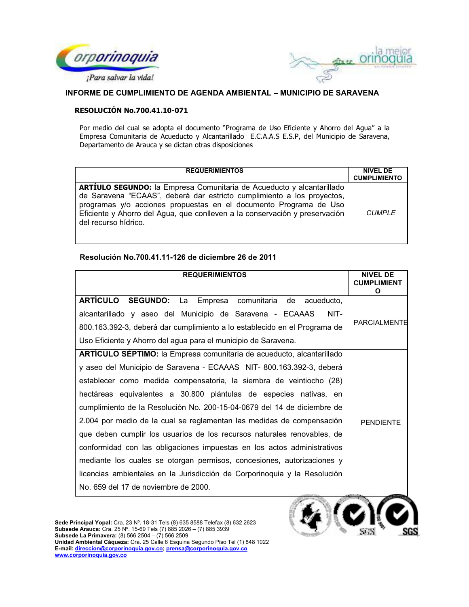



## RESOLUCIÓN No.700.41.10-071

Por medio del cual se adopta el documento "Programa de Uso Eficiente y Ahorro del Agua" a la Empresa Comunitaria de Acueducto y Alcantarillado E.C.A.A.S E.S.P, del Municipio de Saravena, Departamento de Arauca y se dictan otras disposiciones

| <b>REQUERIMIENTOS</b>                                                                                                                                                                                                                                                                                                              | <b>NIVEL DE</b><br><b>CUMPLIMIENTO</b> |
|------------------------------------------------------------------------------------------------------------------------------------------------------------------------------------------------------------------------------------------------------------------------------------------------------------------------------------|----------------------------------------|
| <b>ARTÍULO SEGUNDO:</b> la Empresa Comunitaria de Acueducto y alcantarillado<br>de Saravena "ECAAS", deberá dar estricto cumplimiento a los proyectos,<br>programas y/o acciones propuestas en el documento Programa de Uso<br>Eficiente y Ahorro del Agua, que conlleven a la conservación y preservación<br>del recurso hídrico. | CUMPI F                                |

## Resolución No.700.41.11-126 de diciembre 26 de 2011

| <b>REQUERIMIENTOS</b>                                                        | NIVEI DE<br><b>CUMPLIMIENT</b><br>O |
|------------------------------------------------------------------------------|-------------------------------------|
| ARTÍCULO SEGUNDO: La Empresa comunitaria de acueducto,                       |                                     |
| alcantarillado y aseo del Municipio de Saravena - ECAAAS<br>NIT-             |                                     |
| 800.163.392-3, deberá dar cumplimiento a lo establecido en el Programa de    | PARCIALMENTE                        |
| Uso Eficiente y Ahorro del agua para el municipio de Saravena.               |                                     |
| <b>ARTÍCULO SÉPTIMO:</b> la Empresa comunitaria de acueducto, alcantarillado |                                     |
| y aseo del Municipio de Saravena - ECAAAS NIT-800.163.392-3, deberá          |                                     |
| establecer como medida compensatoria, la siembra de veintiocho (28)          |                                     |
| hectáreas equivalentes a 30.800 plántulas de especies nativas, en            |                                     |
| cumplimiento de la Resolución No. 200-15-04-0679 del 14 de diciembre de      |                                     |
| 2.004 por medio de la cual se reglamentan las medidas de compensación        | <b>PENDIENTE</b>                    |
| que deben cumplir los usuarios de los recursos naturales renovables, de      |                                     |
| conformidad con las obligaciones impuestas en los actos administrativos      |                                     |
| mediante los cuales se otorgan permisos, concesiones, autorizaciones y       |                                     |
| licencias ambientales en la Jurisdicción de Corporinoquia y la Resolución    |                                     |
| No. 659 del 17 de noviembre de 2000.                                         |                                     |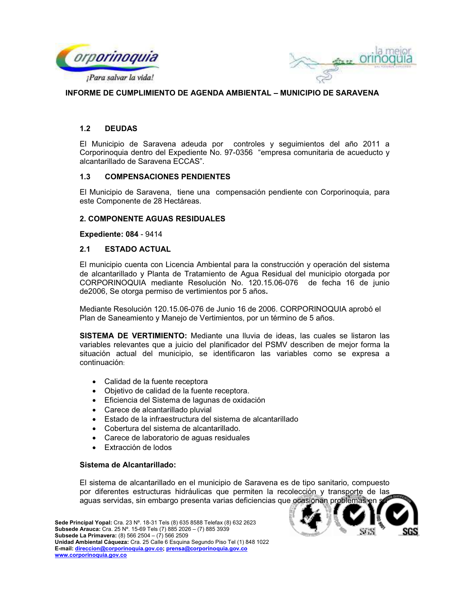



#### **DEUDAS**  $1.2$

El Municipio de Saravena adeuda por controles y seguimientos del año 2011 a Corporinoquia dentro del Expediente No. 97-0356 "empresa comunitaria de acueducto y alcantarillado de Saravena ECCAS".

#### $1.3$ **COMPENSACIONES PENDIENTES**

El Municipio de Saravena, tiene una compensación pendiente con Corporinoquia, para este Componente de 28 Hectáreas.

#### **2. COMPONENTE AGUAS RESIDUALES**

**Expediente: 084 - 9414** 

#### **ESTADO ACTUAL**  $2.1$

El municipio cuenta con Licencia Ambiental para la construcción y operación del sistema de alcantarillado y Planta de Tratamiento de Agua Residual del municipio otorgada por CORPORINOQUIA mediante Resolución No. 120.15.06-076 de fecha 16 de junio de2006, Se otorga permiso de vertimientos por 5 años.

Mediante Resolución 120.15.06-076 de Junio 16 de 2006. CORPORINOQUIA aprobó el Plan de Saneamiento y Manejo de Vertimientos, por un término de 5 años.

SISTEMA DE VERTIMIENTO: Mediante una lluvia de ideas, las cuales se listaron las variables relevantes que a juicio del planificador del PSMV describen de mejor forma la situación actual del municipio, se identificaron las variables como se expresa a continuación:

- Calidad de la fuente receptora
- Objetivo de calidad de la fuente receptora.
- · Eficiencia del Sistema de lagunas de oxidación
- Carece de alcantarillado pluvial
- Estado de la infraestructura del sistema de alcantarillado
- Cobertura del sistema de alcantarillado.
- Carece de laboratorio de aguas residuales
- Extracción de lodos

#### Sistema de Alcantarillado:

El sistema de alcantarillado en el municipio de Saravena es de tipo sanitario, compuesto por diferentes estructuras hidráulicas que permiten la recolección y transporte de las aguas servidas, sin embargo presenta varias deficiencias que ocasionan problemas

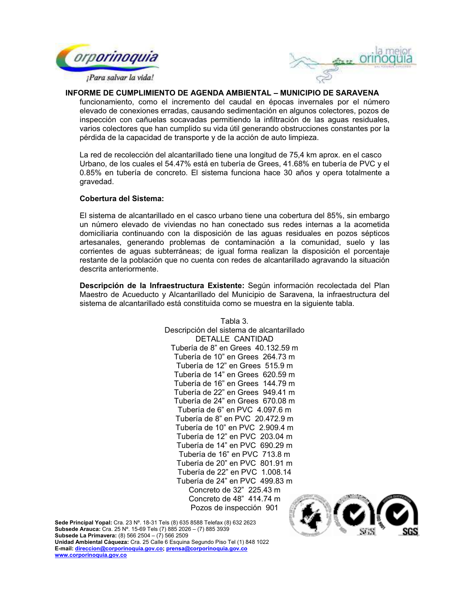



funcionamiento, como el incremento del caudal en épocas invernales por el número elevado de conexiones erradas, causando sedimentación en algunos colectores, pozos de inspección con cañuelas socavadas permitiendo la infiltración de las aguas residuales, varios colectores que han cumplido su vida útil generando obstrucciones constantes por la pérdida de la capacidad de transporte y de la acción de auto limpieza.

La red de recolección del alcantarillado tiene una longitud de 75,4 km aprox. en el casco Urbano, de los cuales el 54.47% está en tubería de Grees, 41.68% en tubería de PVC y el 0.85% en tubería de concreto. El sistema funciona hace 30 años y opera totalmente a gravedad.

#### **Cobertura del Sistema:**

El sistema de alcantarillado en el casco urbano tiene una cobertura del 85%, sin embargo un número elevado de viviendas no han conectado sus redes internas a la acometida domiciliaria continuando con la disposición de las aguas residuales en pozos sépticos artesanales, generando problemas de contaminación a la comunidad, suelo y las corrientes de aguas subterráneas; de igual forma realizan la disposición el porcentaje restante de la población que no cuenta con redes de alcantarillado agravando la situación descrita anteriormente.

Descripción de la Infraestructura Existente: Según información recolectada del Plan Maestro de Acueducto y Alcantarillado del Municipio de Saravena, la infraestructura del sistema de alcantarillado está constituida como se muestra en la siguiente tabla.

> Tabla 3. Descripción del sistema de alcantarillado DETALLE CANTIDAD Tubería de 8" en Grees 40.132.59 m Tubería de 10" en Grees 264.73 m Tubería de 12" en Grees 515.9 m Tubería de 14" en Grees 620.59 m Tubería de 16" en Grees 144.79 m Tubería de 22" en Grees 949.41 m Tubería de 24" en Grees 670.08 m Tubería de 6" en PVC 4.097.6 m Tubería de 8" en PVC 20.472.9 m Tubería de 10" en PVC 2.909.4 m Tubería de 12" en PVC 203.04 m Tubería de 14" en PVC 690.29 m Tubería de 16" en PVC 713.8 m Tubería de 20" en PVC 801.91 m Tubería de 22" en PVC 1.008.14 Tubería de 24" en PVC 499.83 m Concreto de 32" 225.43 m Concreto de 48" 414.74 m Pozos de inspección 901

Sede Principal Yopal: Cra. 23 Nº. 18-31 Tels (8) 635 8588 Telefax (8) 632 2623 Subsede Arauca: Cra. 25 Nº. 15-69 Tels (7) 885 2026 - (7) 885 3939 **Subsede La Primavera:** (8) 566 2504 - (7) 566 2509

Unidad Ambiental Cáqueza: Cra. 25 Calle 6 Esquina Sequndo Piso Tel (1) 848 1022 E-mail: direccion@corporinoquia.gov.co; prensa@corporinoquia.gov.co www.corporinoquia.gov.co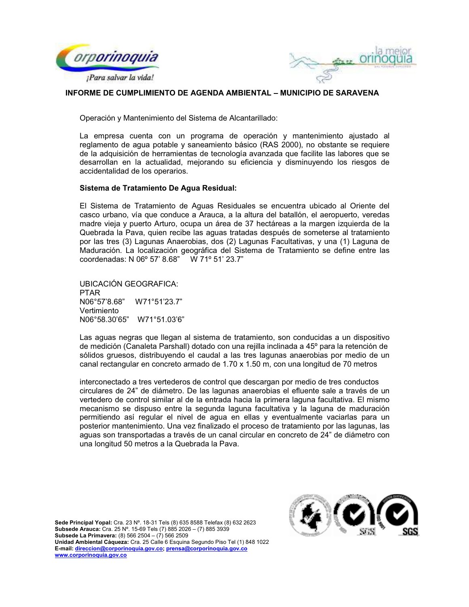



Operación y Mantenimiento del Sistema de Alcantarillado:

La empresa cuenta con un programa de operación y mantenimiento ajustado al reglamento de agua potable y saneamiento básico (RAS 2000), no obstante se reguiere de la adquisición de herramientas de tecnología avanzada que facilite las labores que se desarrollan en la actualidad, mejorando su eficiencia y disminuyendo los riesgos de accidentalidad de los operarios.

## Sistema de Tratamiento De Agua Residual:

El Sistema de Tratamiento de Aguas Residuales se encuentra ubicado al Oriente del casco urbano, vía que conduce a Arauca, a la altura del batallón, el aeropuerto, veredas madre vieja y puerto Arturo, ocupa un área de 37 hectáreas a la margen izquierda de la Quebrada la Pava, quien recibe las aguas tratadas después de someterse al tratamiento por las tres (3) Lagunas Anaerobias, dos (2) Lagunas Facultativas, y una (1) Laguna de Maduración. La localización geográfica del Sistema de Tratamiento se define entre las coordenadas: N 06° 57' 8.68" W 71° 51' 23.7"

UBICACIÓN GEOGRAFICA: PTAR N06°57'8.68" W71°51'23.7" Vertimiento N06°58.30'65" W71°51.03'6"

Las aguas negras que llegan al sistema de tratamiento, son conducidas a un dispositivo de medición (Canaleta Parshall) dotado con una rejilla inclinada a 45º para la retención de sólidos gruesos, distribuyendo el caudal a las tres lagunas anaerobias por medio de un canal rectangular en concreto armado de 1.70 x 1.50 m, con una longitud de 70 metros

interconectado a tres vertederos de control que descargan por medio de tres conductos circulares de 24" de diámetro. De las lagunas anaerobias el efluente sale a través de un vertedero de control similar al de la entrada hacia la primera laguna facultativa. El mismo mecanismo se dispuso entre la segunda laguna facultativa y la laguna de maduración permitiendo así regular el nivel de agua en ellas y eventualmente vaciarlas para un posterior mantenimiento. Una vez finalizado el proceso de tratamiento por las lagunas, las aquas son transportadas a través de un canal circular en concreto de 24" de diámetro con una longitud 50 metros a la Quebrada la Pava.

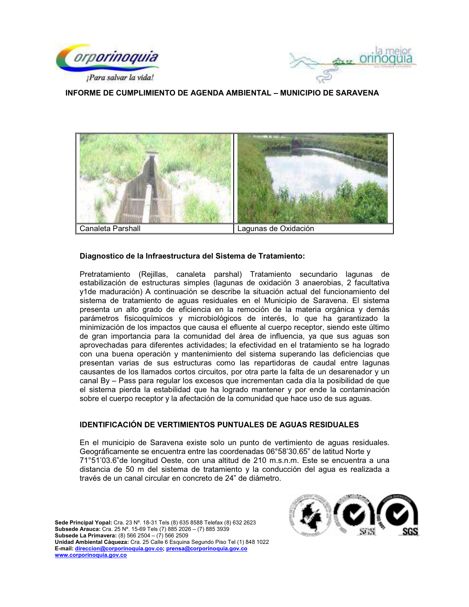





## Diagnostico de la Infraestructura del Sistema de Tratamiento:

Pretratamiento (Rejillas, canaleta parshal) Tratamiento secundario lagunas de estabilización de estructuras simples (lagunas de oxidación 3 anaerobias, 2 facultativa y1de maduración) A continuación se describe la situación actual del funcionamiento del sistema de tratamiento de aguas residuales en el Municipio de Saravena. El sistema presenta un alto grado de eficiencia en la remoción de la materia orgánica y demás parámetros fisicoquímicos y microbiológicos de interés, lo que ha garantizado la minimización de los impactos que causa el efluente al cuerpo receptor, siendo este último de gran importancia para la comunidad del área de influencia, ya que sus aguas son aprovechadas para diferentes actividades; la efectividad en el tratamiento se ha logrado con una buena operación y mantenimiento del sistema superando las deficiencias que presentan varias de sus estructuras como las repartidoras de caudal entre lagunas causantes de los llamados cortos circuitos, por otra parte la falta de un desarenador y un canal By – Pass para regular los excesos que incrementan cada día la posibilidad de que el sistema pierda la estabilidad que ha logrado mantener y por ende la contaminación sobre el cuerpo receptor y la afectación de la comunidad que hace uso de sus aguas.

#### IDENTIFICACIÓN DE VERTIMIENTOS PUNTUALES DE AGUAS RESIDUALES

En el municipio de Saravena existe solo un punto de vertimiento de aguas residuales. Geográficamente se encuentra entre las coordenadas 06°58'30.65" de latitud Norte y 71°51'03.6"de longitud Oeste, con una altitud de 210 m.s.n.m. Este se encuentra a una distancia de 50 m del sistema de tratamiento y la conducción del aqua es realizada a través de un canal circular en concreto de 24" de diámetro.

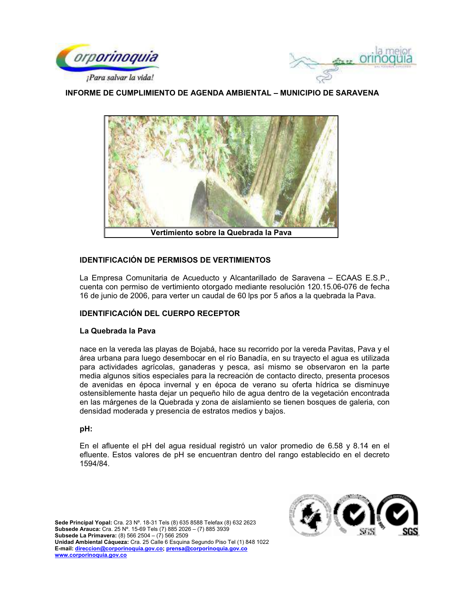





# **IDENTIFICACIÓN DE PERMISOS DE VERTIMIENTOS**

La Empresa Comunitaria de Acueducto y Alcantarillado de Saravena - ECAAS E.S.P., cuenta con permiso de vertimiento otorgado mediante resolución 120.15.06-076 de fecha 16 de junio de 2006, para verter un caudal de 60 lps por 5 años a la quebrada la Pava.

# **IDENTIFICACIÓN DEL CUERPO RECEPTOR**

## La Quebrada la Pava

nace en la vereda las playas de Bojabá, hace su recorrido por la vereda Pavitas, Pava y el área urbana para luego desembocar en el río Banadía, en su trayecto el agua es utilizada para actividades agrícolas, ganaderas y pesca, así mismo se observaron en la parte media algunos sitios especiales para la recreación de contacto directo, presenta procesos de avenidas en época invernal y en época de verano su oferta hídrica se disminuye ostensiblemente hasta dejar un pequeño hilo de agua dentro de la vegetación encontrada en las márgenes de la Quebrada y zona de aislamiento se tienen bosques de galeria, con densidad moderada y presencia de estratos medios y bajos.

## pH:

En el afluente el pH del agua residual registró un valor promedio de 6.58 y 8.14 en el efluente. Estos valores de pH se encuentran dentro del rango establecido en el decreto 1594/84.

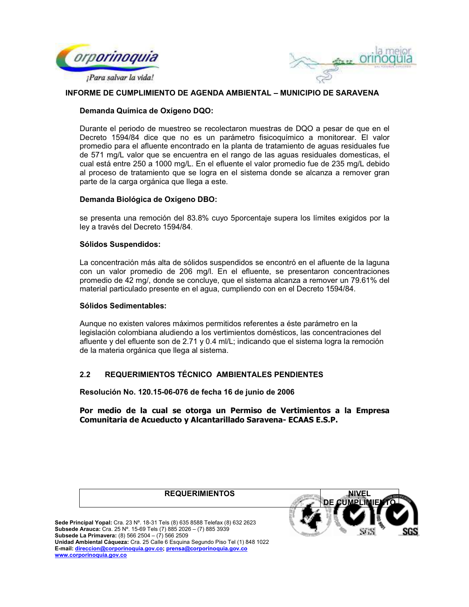



## Demanda Química de Oxígeno DQO:

Durante el periodo de muestreo se recolectaron muestras de DQO a pesar de que en el Decreto 1594/84 dice que no es un parámetro fisicoguímico a monitorear. El valor promedio para el afluente encontrado en la planta de tratamiento de aguas residuales fue de 571 mg/L valor que se encuentra en el rango de las aguas residuales domesticas, el cual está entre 250 a 1000 mg/L. En el efluente el valor promedio fue de 235 mg/L debido al proceso de tratamiento que se logra en el sistema donde se alcanza a remover gran parte de la carga orgánica que llega a este.

## Demanda Biológica de Oxígeno DBO:

se presenta una remoción del 83.8% cuyo 5porcentaje supera los límites exigidos por la ley a través del Decreto 1594/84.

## **Sólidos Suspendidos:**

La concentración más alta de sólidos suspendidos se encontró en el afluente de la laguna con un valor promedio de 206 mg/l. En el efluente, se presentaron concentraciones promedio de 42 mg/, donde se concluye, que el sistema alcanza a remover un 79.61% del material particulado presente en el aqua, cumpliendo con en el Decreto 1594/84.

#### Sólidos Sedimentables:

Aunque no existen valores máximos permitidos referentes a éste parámetro en la legislación colombiana aludiendo a los vertimientos domésticos, las concentraciones del afluente y del efluente son de 2.71 y 0.4 ml/L; indicando que el sistema logra la remoción de la materia orgánica que llega al sistema.

#### REQUERIMIENTOS TÉCNICO AMBIENTALES PENDIENTES  $2.2$

Resolución No. 120.15-06-076 de fecha 16 de junio de 2006

Por medio de la cual se otorga un Permiso de Vertimientos a la Empresa Comunitaria de Acueducto y Alcantarillado Saravena- ECAAS E.S.P.

**REQUERIMIENTOS** 

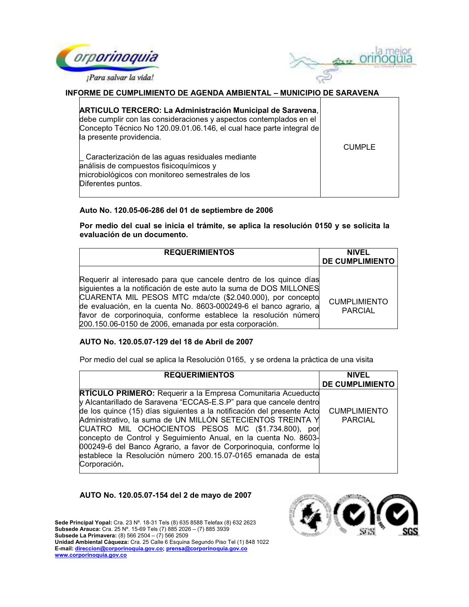



| ARTICULO TERCERO: La Administración Municipal de Saravena,<br>debe cumplir con las consideraciones y aspectos contemplados en el<br>Concepto Técnico No 120.09.01.06.146, el cual hace parte integral de<br>la presente providencia. | CUMPLE |
|--------------------------------------------------------------------------------------------------------------------------------------------------------------------------------------------------------------------------------------|--------|
| Caracterización de las aguas residuales mediante<br>análisis de compuestos fisicoquímicos y<br>microbiológicos con monitoreo semestrales de los<br>Diferentes puntos.                                                                |        |

## Auto No. 120.05-06-286 del 01 de septiembre de 2006

Por medio del cual se inicia el trámite, se aplica la resolución 0150 y se solicita la evaluación de un documento.

| <b>REQUERIMIENTOS</b>                                                                                                                                                                                                                                                                                                                                                                                  | <b>NIVEL</b><br><b>DE CUMPLIMIENTO</b> |
|--------------------------------------------------------------------------------------------------------------------------------------------------------------------------------------------------------------------------------------------------------------------------------------------------------------------------------------------------------------------------------------------------------|----------------------------------------|
| Requerir al interesado para que cancele dentro de los quince días<br>siguientes a la notificación de este auto la suma de DOS MILLONES<br>CUARENTA MIL PESOS MTC mda/cte (\$2.040.000), por concepto<br>de evaluación, en la cuenta No. 8603-000249-6 el banco agrario, a<br>favor de corporinoquia, conforme establece la resolución número<br>200.150.06-0150 de 2006, emanada por esta corporación. | <b>CUMPLIMIENTO</b><br><b>PARCIAL</b>  |

## AUTO No. 120.05.07-129 del 18 de Abril de 2007

Por medio del cual se aplica la Resolución 0165, y se ordena la práctica de una visita

| <b>REQUERIMIENTOS</b>                                                  | <b>NIVEL</b>           |
|------------------------------------------------------------------------|------------------------|
|                                                                        | <b>DE CUMPLIMIENTO</b> |
| <b>RTÍCULO PRIMERO:</b> Requerir a la Empresa Comunitaria Acueducto    |                        |
| y Alcantarillado de Saravena "ECCAS-E.S.P" para que cancele dentro     |                        |
| de los quince (15) días siguientes a la notificación del presente Acto | <b>CUMPLIMIENTO</b>    |
| Administrativo, la suma de UN MILLÓN SETECIENTOS TREINTA Y             | <b>PARCIAL</b>         |
| CUATRO MIL OCHOCIENTOS PESOS M/C (\$1.734.800), por                    |                        |
| concepto de Control y Seguimiento Anual, en la cuenta No. 8603-        |                        |
| 000249-6 del Banco Agrario, a favor de Corporinoquia, conforme lo      |                        |
| establece la Resolución número 200.15.07-0165 emanada de esta          |                        |
| Corporación.                                                           |                        |
|                                                                        |                        |

## AUTO No. 120.05.07-154 del 2 de mayo de 2007

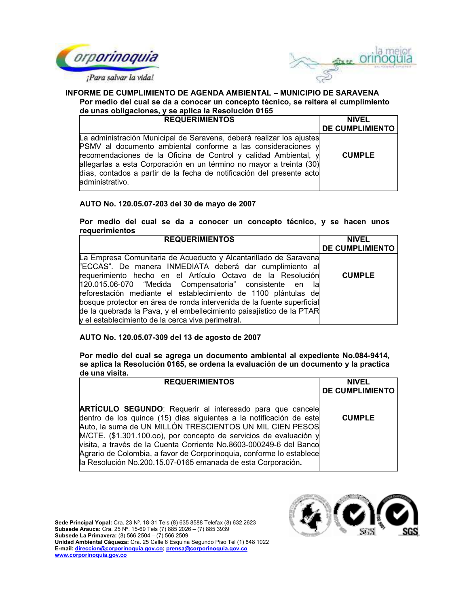



#### INFORME DE CUMPLIMIENTO DE AGENDA AMBIENTAL - MUNICIPIO DE SARAVENA Por medio del cual se da a conocer un concepto técnico, se reitera el cumplimiento de unas obligaciones, y se antica la Resolución 0165

| ac anas opingaciones, y se apilea la resolución o los                                                                                                                                                                                                                                                                                                                      |                        |  |
|----------------------------------------------------------------------------------------------------------------------------------------------------------------------------------------------------------------------------------------------------------------------------------------------------------------------------------------------------------------------------|------------------------|--|
| <b>REQUERIMIENTOS</b>                                                                                                                                                                                                                                                                                                                                                      | <b>NIVEL</b>           |  |
|                                                                                                                                                                                                                                                                                                                                                                            | <b>DE CUMPLIMIENTO</b> |  |
| La administración Municipal de Saravena, deberá realizar los ajustes<br>PSMV al documento ambiental conforme a las consideraciones y<br>recomendaciones de la Oficina de Control y calidad Ambiental, y<br>allegarlas a esta Corporación en un término no mayor a treinta (30)<br>días, contados a partir de la fecha de notificación del presente acto<br>administrativo. | <b>CUMPLE</b>          |  |

# AUTO No. 120.05.07-203 del 30 de mayo de 2007

## Por medio del cual se da a conocer un concepto técnico, y se hacen unos requerimientos

| <b>REQUERIMIENTOS</b>                                                  | <b>NIVEL</b>           |
|------------------------------------------------------------------------|------------------------|
|                                                                        | <b>DE CUMPLIMIENTO</b> |
| La Empresa Comunitaria de Acueducto y Alcantarillado de Saravena       |                        |
| "ECCAS". De manera INMEDIATA deberá dar cumplimiento al                |                        |
| requerimiento hecho en el Artículo Octavo de la Resolución             | <b>CUMPLE</b>          |
| 120.015.06-070 "Medida Compensatoria" consistente en<br>la             |                        |
| reforestación mediante el establecimiento de 1100 plántulas de         |                        |
| bosque protector en área de ronda intervenida de la fuente superficial |                        |
| de la quebrada la Pava, y el embellecimiento paisajístico de la PTAR   |                        |
| y el establecimiento de la cerca viva perimetral.                      |                        |

# AUTO No. 120.05.07-309 del 13 de agosto de 2007

Por medio del cual se agrega un documento ambiental al expediente No.084-9414, se aplica la Resolución 0165, se ordena la evaluación de un documento y la practica de una visita.

| <b>REQUERIMIENTOS</b>                                                                                                                                                                                                                                                                                                                                                                                                                                                                   | <b>NIVEL</b>           |
|-----------------------------------------------------------------------------------------------------------------------------------------------------------------------------------------------------------------------------------------------------------------------------------------------------------------------------------------------------------------------------------------------------------------------------------------------------------------------------------------|------------------------|
|                                                                                                                                                                                                                                                                                                                                                                                                                                                                                         | <b>DE CUMPLIMIENTO</b> |
| <b>ARTÍCULO SEGUNDO:</b> Requerir al interesado para que cancele<br>dentro de los quince (15) días siguientes a la notificación de este<br>Auto, la suma de UN MILLÓN TRESCIENTOS UN MIL CIEN PESOS<br>M/CTE. (\$1.301.100.oo), por concepto de servicios de evaluación y<br>visita, a través de la Cuenta Corriente No.8603-000249-6 del Banco<br>Agrario de Colombia, a favor de Corporinoquia, conforme lo establece<br>la Resolución No.200.15.07-0165 emanada de esta Corporación. | <b>CUMPLE</b>          |

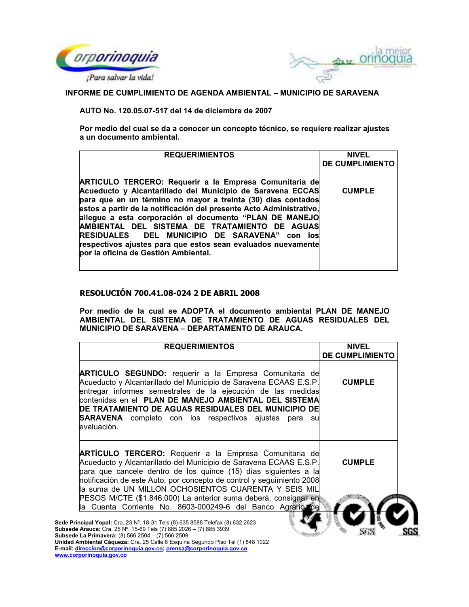



AUTO No. 120.05.07-517 del 14 de diciembre de 2007

Por medio del cual se da a conocer un concepto técnico, se requiere realizar ajustes a un documento ambiental.

| <b>REQUERIMIENTOS</b>                                                                                                                                                                                                                                                                                                                                                                                                                                                                                                                   | <b>NIVEL</b>           |
|-----------------------------------------------------------------------------------------------------------------------------------------------------------------------------------------------------------------------------------------------------------------------------------------------------------------------------------------------------------------------------------------------------------------------------------------------------------------------------------------------------------------------------------------|------------------------|
|                                                                                                                                                                                                                                                                                                                                                                                                                                                                                                                                         | <b>DE CUMPLIMIENTO</b> |
| ARTICULO TERCERO: Requerir a la Empresa Comunitaria de<br>Acueducto y Alcantarillado del Municipio de Saravena ECCAS<br>para que en un término no mayor a treinta (30) días contados<br>estos a partir de la notificación del presente Acto Administrativo.<br>allegue a esta corporación el documento "PLAN DE MANEJO<br>AMBIENTAL DEL SISTEMA DE TRATAMIENTO DE AGUAS<br><b>RESIDUALES DEL MUNICIPIO DE SARAVENA" con los</b><br>respectivos ajustes para que estos sean evaluados nuevamente<br>por la oficina de Gestión Ambiental. | <b>CUMPLE</b>          |

# **RESOLUCIÓN 700.41.08-024 2 DE ABRIL 2008**

Por medio de la cual se ADOPTA el documento ambiental PLAN DE MANEJO AMBIENTAL DEL SISTEMA DE TRATAMIENTO DE AGUAS RESIDUALES DEL MUNICIPIO DE SARAVENA - DEPARTAMENTO DE ARAUCA.

| <b>REQUERIMIENTOS</b>                                                                                                                                                                                                                                                                                                                                                                                                                                                                                | <b>NIVEL</b><br><b>DE CUMPLIMIENTO</b> |    |
|------------------------------------------------------------------------------------------------------------------------------------------------------------------------------------------------------------------------------------------------------------------------------------------------------------------------------------------------------------------------------------------------------------------------------------------------------------------------------------------------------|----------------------------------------|----|
| <b>ARTICULO SEGUNDO:</b> requerir a la Empresa Comunitaria de<br>Acueducto y Alcantarillado del Municipio de Saravena ECAAS E.S.P.<br>entregar informes semestrales de la ejecución de las medidas<br>contenidas en el PLAN DE MANEJO AMBIENTAL DEL SISTEMA<br>DE TRATAMIENTO DE AGUAS RESIDUALES DEL MUNICIPIO DE<br><b>SARAVENA</b> completo con los respectivos ajustes para su<br>evaluación.                                                                                                    | <b>CUMPLE</b>                          |    |
| <b>ARTÍCULO TERCERO:</b> Requerir a la Empresa Comunitaria de<br>Acueducto y Alcantarillado del Municipio de Saravena ECAAS E.S.P.<br>para que cancele dentro de los quince (15) días siguientes a la<br>notificación de este Auto, por concepto de control y seguimiento 2008<br>la suma de UN MILLON OCHOSIENTOS CUARENTA Y SEIS MIL                                                                                                                                                               | <b>CUMPLE</b>                          |    |
| PESOS M/CTE (\$1.846.000) La anterior suma deberá, consignar en<br>la Cuenta Corriente No. 8603-000249-6 del Banco Agrario de<br>Sede Principal Yopal: Cra. 23 Nº. 18-31 Tels (8) 635 8588 Telefax (8) 632 2623<br>Subsede Arauca: Cra. 25 Nº. 15-69 Tels (7) 885 2026 - (7) 885 3939<br>Subsede La Primavera: (8) 566 2504 - (7) 566 2509<br>Unidad Ambiental Cáqueza: Cra. 25 Calle 6 Esquina Segundo Piso Tel (1) 848 1022<br>E-mail: direccion@corporinoquia.gov.co; prensa@corporinoquia.gov.co |                                        | SG |

www.corporinoquia.gov.co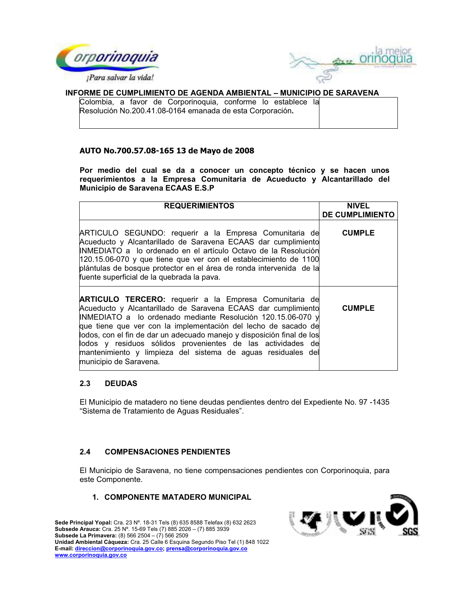



Colombia, a favor de Corporinoquia, conforme lo establece la Resolución No.200.41.08-0164 emanada de esta Corporación.

## AUTO No.700.57.08-165 13 de Mayo de 2008

Por medio del cual se da a conocer un concepto técnico y se hacen unos requerimientos a la Empresa Comunitaria de Acueducto y Alcantarillado del Municipio de Saravena ECAAS E.S.P

| <b>REQUERIMIENTOS</b>                                                                                                                                                                                                                                                                                                                                                                                                                                                                              | <b>NIVEL</b><br><b>DE CUMPLIMIENTO</b> |
|----------------------------------------------------------------------------------------------------------------------------------------------------------------------------------------------------------------------------------------------------------------------------------------------------------------------------------------------------------------------------------------------------------------------------------------------------------------------------------------------------|----------------------------------------|
| ARTICULO SEGUNDO: requerir a la Empresa Comunitaria de<br>Acueducto y Alcantarillado de Saravena ECAAS dar cumplimiento<br>INMEDIATO a lo ordenado en el artículo Octavo de la Resolución<br>120.15.06-070 y que tiene que ver con el establecimiento de 1100<br>plántulas de bosque protector en el área de ronda intervenida de la<br>fuente superficial de la quebrada la pava.                                                                                                                 | <b>CUMPLE</b>                          |
| <b>ARTICULO TERCERO:</b> requerir a la Empresa Comunitaria de<br>Acueducto y Alcantarillado de Saravena ECAAS dar cumplimiento<br>INMEDIATO a lo ordenado mediante Resolución 120.15.06-070 y<br>que tiene que ver con la implementación del lecho de sacado de<br>lodos, con el fin de dar un adecuado manejo y disposición final de los<br>lodos y residuos sólidos provenientes de las actividades de<br>mantenimiento y limpieza del sistema de aguas residuales del<br>municipio de Saravena. | <b>CUMPLE</b>                          |

#### $2.3$ **DEUDAS**

El Municipio de matadero no tiene deudas pendientes dentro del Expediente No. 97 -1435 "Sistema de Tratamiento de Aguas Residuales".

#### $2.4$ **COMPENSACIONES PENDIENTES**

El Municipio de Saravena, no tiene compensaciones pendientes con Corporinoquia, para este Componente.

# 1. COMPONENTE MATADERO MUNICIPAL

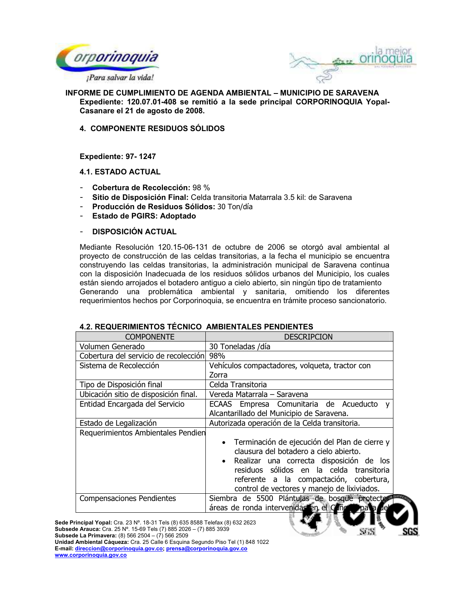



**INFORME DE CUMPLIMIENTO DE AGENDA AMBIENTAL - MUNICIPIO DE SARAVENA** Expediente: 120.07.01-408 se remitió a la sede principal CORPORINOQUIA Yopal-Casanare el 21 de agosto de 2008.

**4. COMPONENTE RESIDUOS SÓLIDOS** 

Expediente: 97-1247

## **4.1. ESTADO ACTUAL**

- Cobertura de Recolección: 98 %
- Sitio de Disposición Final: Celda transitoria Matarrala 3.5 kil: de Saravena
- Producción de Residuos Sólidos: 30 Ton/día
- Estado de PGIRS: Adoptado
- **DISPOSICIÓN ACTUAL**

Mediante Resolución 120.15-06-131 de octubre de 2006 se otorgó aval ambiental al proyecto de construcción de las celdas transitorias, a la fecha el municipio se encuentra construyendo las celdas transitorias, la administración municipal de Saravena continua con la disposición Inadecuada de los residuos sólidos urbanos del Municipio, los cuales están siendo arrojados el botadero antiguo a cielo abierto, sin ningún tipo de tratamiento Generando una problemática ambiental y sanitaria, omitiendo los diferentes requerimientos hechos por Corporinoquia, se encuentra en trámite proceso sancionatorio.

| <b>COMPONENTE</b>                     | <b>DESCRIPCION</b>                                    |  |  |  |  |
|---------------------------------------|-------------------------------------------------------|--|--|--|--|
| Volumen Generado                      | 30 Toneladas /día                                     |  |  |  |  |
| Cobertura del servicio de recolección | 98%                                                   |  |  |  |  |
| Sistema de Recolección                | Vehículos compactadores, volqueta, tractor con        |  |  |  |  |
|                                       | Zorra                                                 |  |  |  |  |
| Tipo de Disposición final             | Celda Transitoria                                     |  |  |  |  |
| Ubicación sitio de disposición final. | Vereda Matarrala - Saravena                           |  |  |  |  |
| Entidad Encargada del Servicio        | ECAAS Empresa Comunitaria de Acueducto y              |  |  |  |  |
|                                       | Alcantarillado del Municipio de Saravena.             |  |  |  |  |
| Estado de Legalización                | Autorizada operación de la Celda transitoria.         |  |  |  |  |
| Requerimientos Ambientales Pendien    |                                                       |  |  |  |  |
|                                       | • Terminación de ejecución del Plan de cierre y       |  |  |  |  |
|                                       | clausura del botadero a cielo abierto.                |  |  |  |  |
|                                       | Realizar una correcta disposición de los<br>$\bullet$ |  |  |  |  |
|                                       | residuos sólidos en la celda transitoria              |  |  |  |  |
|                                       | referente a la compactación, cobertura,               |  |  |  |  |
|                                       | control de vectores y manejo de lixiviados.           |  |  |  |  |
| <b>Compensaciones Pendientes</b>      | Siembra de 5500 Plántulas de bosque protector         |  |  |  |  |
|                                       | áreas de ronda intervenidas en el Ciño y pala         |  |  |  |  |

# 4.2. REQUERIMIENTOS TÉCNICO AMBIENTALES PENDIENTES

Sede Principal Yopal: Cra. 23 Nº. 18-31 Tels (8) 635 8588 Telefax (8) 632 2623<br>Subsede Arauca: Cra. 25 Nº. 15-69 Tels (7) 885 2026 - (7) 885 3939 **Subsede La Primavera:** (8) 566 2504 - (7) 566 2509 Unidad Ambiental Cáqueza: Cra. 25 Calle 6 Esquina Segundo Piso Tel (1) 848 1022

E-mail: direccion@corporinoquia.gov.co; prensa@corporinoquia.gov.co www.corporinoquia.gov.co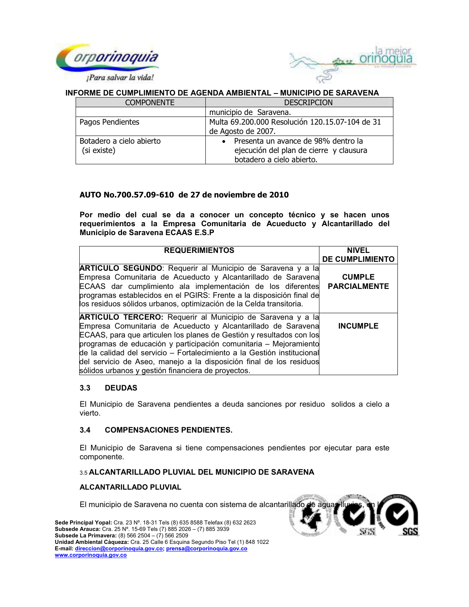



| <b>COMPONENTE</b>                       | <b>DESCRIPCION</b>                                                                                            |  |  |
|-----------------------------------------|---------------------------------------------------------------------------------------------------------------|--|--|
|                                         | municipio de Saravena.                                                                                        |  |  |
| Pagos Pendientes                        | Multa 69.200.000 Resolución 120.15.07-104 de 31                                                               |  |  |
|                                         | de Agosto de 2007.                                                                                            |  |  |
| Botadero a cielo abierto<br>(si existe) | • Presenta un avance de 98% dentro la<br>ejecución del plan de cierre y clausura<br>botadero a cielo abierto. |  |  |

# AUTO No.700.57.09-610 de 27 de noviembre de 2010

Por medio del cual se da a conocer un concepto técnico y se hacen unos requerimientos a la Empresa Comunitaria de Acueducto y Alcantarillado del Municipio de Saravena ECAAS E.S.P

| <b>REQUERIMIENTOS</b>                                                                                                                                                                                                                                                                                                                                                                                                                                                                   | <b>NIVEL</b><br><b>DE CUMPLIMIENTO</b> |
|-----------------------------------------------------------------------------------------------------------------------------------------------------------------------------------------------------------------------------------------------------------------------------------------------------------------------------------------------------------------------------------------------------------------------------------------------------------------------------------------|----------------------------------------|
| <b>ARTICULO SEGUNDO:</b> Requerir al Municipio de Saravena y a la<br>Empresa Comunitaria de Acueducto y Alcantarillado de Saravena<br>ECAAS dar cumplimiento ala implementación de los diferentes<br>programas establecidos en el PGIRS: Frente a la disposición final de<br>los residuos sólidos urbanos, optimización de la Celda transitoria.                                                                                                                                        | <b>CUMPLE</b><br><b>PARCIALMENTE</b>   |
| <b>ARTICULO TERCERO:</b> Requerir al Municipio de Saravena y a la<br>Empresa Comunitaria de Acueducto y Alcantarillado de Saravena<br>ECAAS, para que articulen los planes de Gestión y resultados con los<br>programas de educación y participación comunitaria - Mejoramiento<br>de la calidad del servicio - Fortalecimiento a la Gestión institucional<br>del servicio de Aseo, manejo a la disposición final de los residuos<br>sólidos urbanos y gestión financiera de proyectos. | <b>INCUMPLE</b>                        |

#### $3.3$ **DEUDAS**

El Municipio de Saravena pendientes a deuda sanciones por residuo solidos a cielo a vierto.

#### $3.4$ **COMPENSACIONES PENDIENTES.**

El Municipio de Saravena si tiene compensaciones pendientes por ejecutar para este componente.

# 3.5 ALCANTARILLADO PLUVIAL DEL MUNICIPIO DE SARAVENA

## **ALCANTARILLADO PLUVIAL**

El municipio de Saravena no cuenta con sistema de alcantarillado de aguas lli